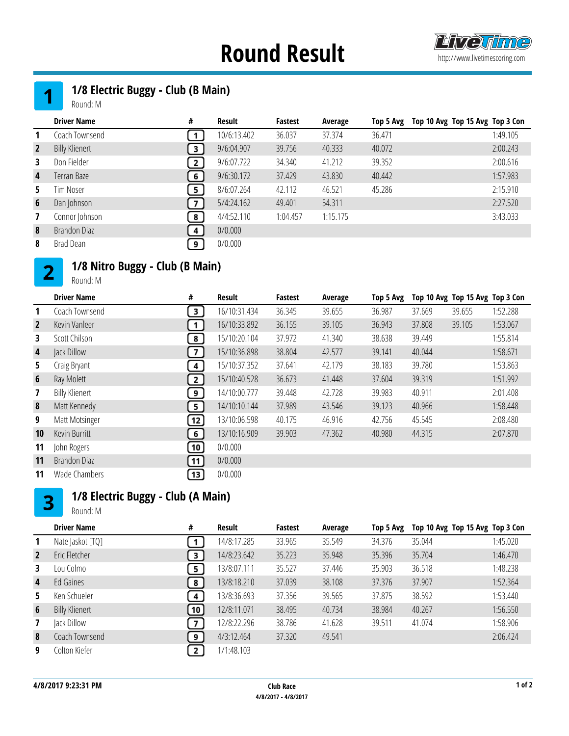# **Round Result Examplement Round Result**



### 

## 1/8 Electric Buggy - Club (B Main)

Round: M

|                | <b>Driver Name</b>    | #            | Result      | Fastest  | Average  | Top 5 Avg | Top 10 Avg Top 15 Avg Top 3 Con |
|----------------|-----------------------|--------------|-------------|----------|----------|-----------|---------------------------------|
|                | Coach Townsend        |              | 10/6:13.402 | 36.037   | 37.374   | 36.471    | 1:49.105                        |
| $\overline{2}$ | <b>Billy Klienert</b> | 3            | 9/6:04.907  | 39.756   | 40.333   | 40.072    | 2:00.243                        |
| 3              | Don Fielder           | $\mathbf{2}$ | 9/6:07.722  | 34.340   | 41.212   | 39.352    | 2:00.616                        |
| $\overline{4}$ | Terran Baze           | 6            | 9/6:30.172  | 37.429   | 43.830   | 40.442    | 1:57.983                        |
| 5.             | Tim Noser             | 5            | 8/6:07.264  | 42.112   | 46.521   | 45.286    | 2:15.910                        |
| 6              | Dan Johnson           | 7            | 5/4:24.162  | 49.401   | 54.311   |           | 2:27.520                        |
| 7              | Connor Johnson        | 8            | 4/4:52.110  | 1:04.457 | 1:15.175 |           | 3:43.033                        |
| 8              | Brandon Diaz          | 4            | 0/0.000     |          |          |           |                                 |
| 8              | Brad Dean             | 9            | 0/0.000     |          |          |           |                                 |

#### 1/8 Nitro Buggy - Club (B Main)  $2<sup>1</sup>$

Round: M

|                | <b>Driver Name</b>    | #                          | Result       | Fastest | Average | Top 5 Avg |        | Top 10 Avg Top 15 Avg Top 3 Con |          |
|----------------|-----------------------|----------------------------|--------------|---------|---------|-----------|--------|---------------------------------|----------|
| 1              | Coach Townsend        | $\mathbf{3}$               | 16/10:31.434 | 36.345  | 39.655  | 36.987    | 37.669 | 39.655                          | 1:52.288 |
| $\overline{2}$ | Kevin Vanleer         | 1                          | 16/10:33.892 | 36.155  | 39.105  | 36.943    | 37.808 | 39.105                          | 1:53.067 |
| 3.             | Scott Chilson         | $\left  \right $           | 15/10:20.104 | 37.972  | 41.340  | 38.638    | 39.449 |                                 | 1:55.814 |
| 4              | Jack Dillow           | $\overline{ }$             | 15/10:36.898 | 38.804  | 42.577  | 39.141    | 40.044 |                                 | 1:58.671 |
| 5.             | Craig Bryant          | $\overline{\mathbf{4}}$    | 15/10:37.352 | 37.641  | 42.179  | 38.183    | 39.780 |                                 | 1:53.863 |
| $6\phantom{1}$ | Ray Molett            | 2]                         | 15/10:40.528 | 36.673  | 41.448  | 37.604    | 39.319 |                                 | 1:51.992 |
| $\mathbf{7}$   | <b>Billy Klienert</b> | 9)                         | 14/10:00.777 | 39.448  | 42.728  | 39.983    | 40.911 |                                 | 2:01.408 |
| 8              | Matt Kennedy          | $\overline{\phantom{a}}$ 5 | 14/10:10.144 | 37.989  | 43.546  | 39.123    | 40.966 |                                 | 1:58.448 |
| 9              | Matt Motsinger        | $\left[12\right]$          | 13/10:06.598 | 40.175  | 46.916  | 42.756    | 45.545 |                                 | 2:08.480 |
| 10             | Kevin Burritt         | 6 <sup>1</sup>             | 13/10:16.909 | 39.903  | 47.362  | 40.980    | 44.315 |                                 | 2:07.870 |
| 11             | John Rogers           | $\left[10\right]$          | 0/0.000      |         |         |           |        |                                 |          |
| 11             | Brandon Diaz          | 11                         | 0/0.000      |         |         |           |        |                                 |          |
| 11             | Wade Chambers         | $\left[13\right]$          | 0/0.000      |         |         |           |        |                                 |          |

#### 1/8 Electric Buggy - Club (A Main)  $3<sup>1</sup>$

Round: M

|                 | <b>Driver Name</b>    | #              | Result      | <b>Fastest</b> | Average | Top 5 Avg | Top 10 Avg Top 15 Avg Top 3 Con |          |
|-----------------|-----------------------|----------------|-------------|----------------|---------|-----------|---------------------------------|----------|
| 1               | Nate Jaskot [TQ]      |                | 14/8:17.285 | 33.965         | 35.549  | 34.376    | 35.044                          | 1:45.020 |
| $\overline{2}$  | Eric Fletcher         | з              | 14/8:23.642 | 35.223         | 35.948  | 35.396    | 35.704                          | 1:46.470 |
| 3               | Lou Colmo             | 5              | 13/8:07.111 | 35.527         | 37.446  | 35.903    | 36.518                          | 1:48.238 |
| 4               | Ed Gaines             | 8              | 13/8:18.210 | 37.039         | 38.108  | 37.376    | 37.907                          | 1:52.364 |
| 5.              | Ken Schueler          | 4              | 13/8:36.693 | 37.356         | 39.565  | 37.875    | 38.592                          | 1:53.440 |
| $6\phantom{1}6$ | <b>Billy Klienert</b> | 10             | 12/8:11.071 | 38.495         | 40.734  | 38.984    | 40.267                          | 1:56.550 |
| 7               | Jack Dillow           | $\overline{7}$ | 12/8:22.296 | 38.786         | 41.628  | 39.511    | 41.074                          | 1:58.906 |
| 8               | Coach Townsend        | 9              | 4/3:12.464  | 37.320         | 49.541  |           |                                 | 2:06.424 |
| 9               | Colton Kiefer         | $\mathbf{2}$   | 1/1:48.103  |                |         |           |                                 |          |